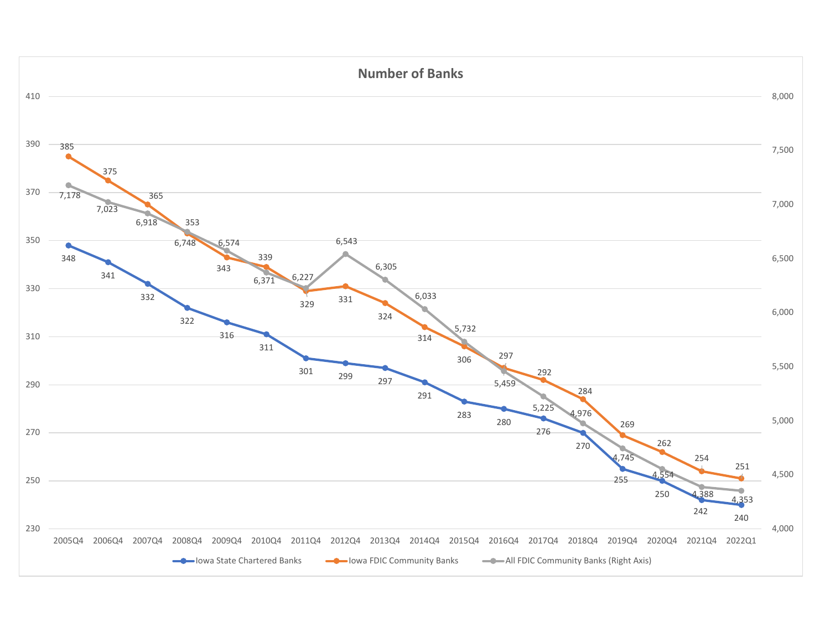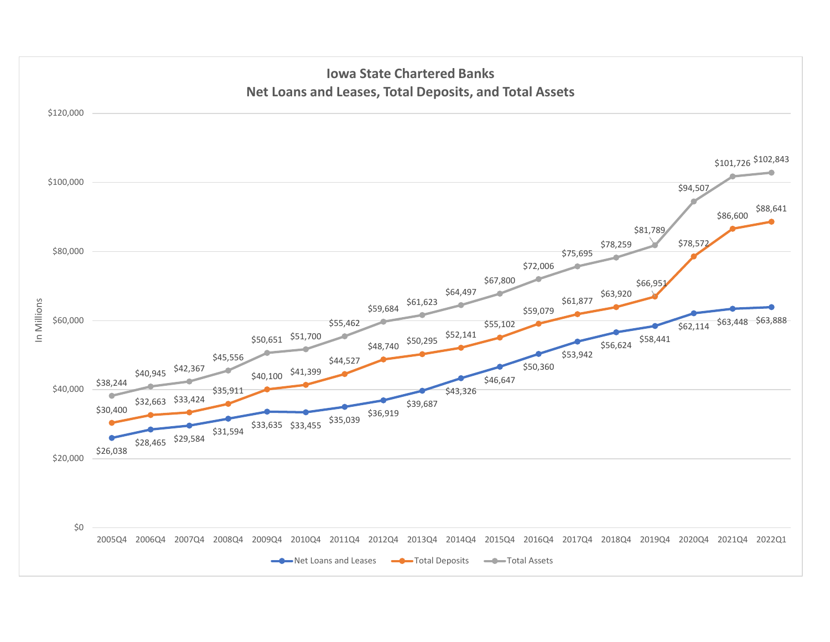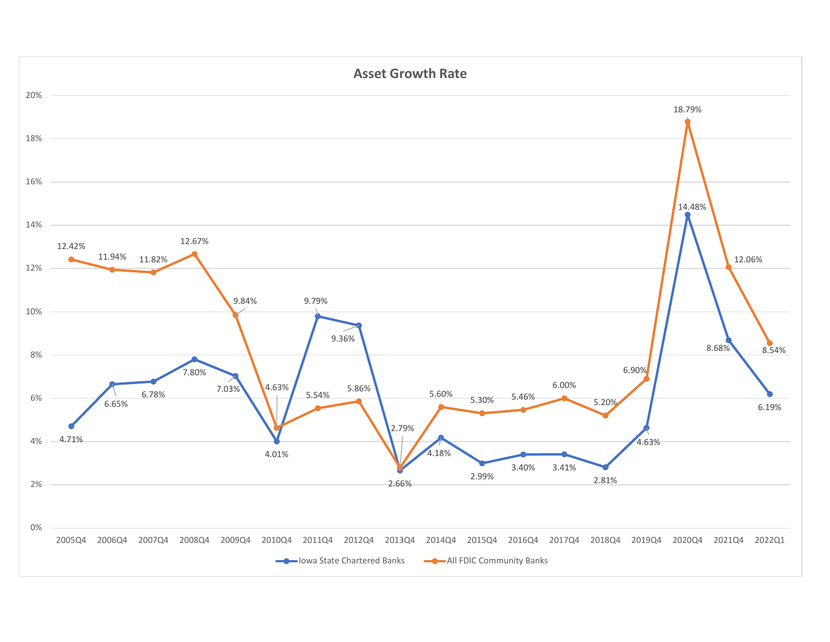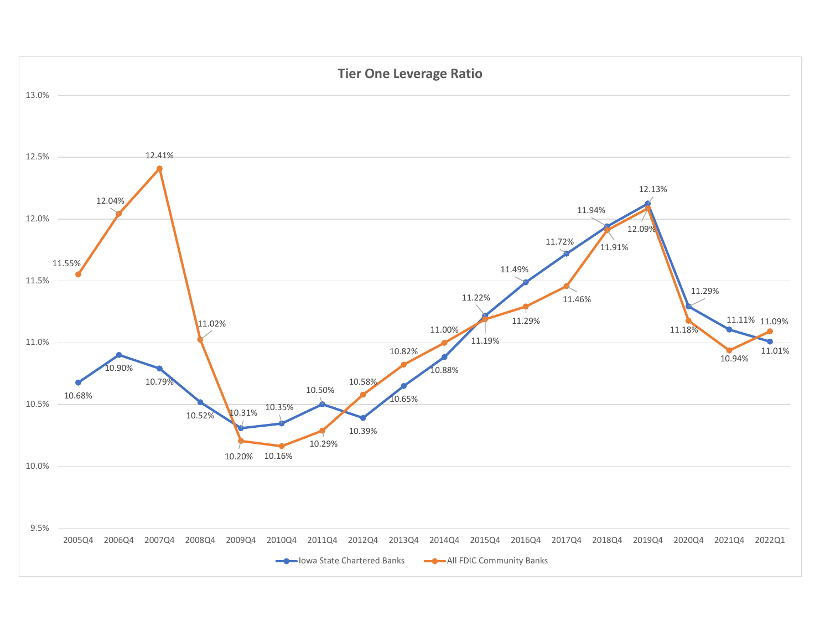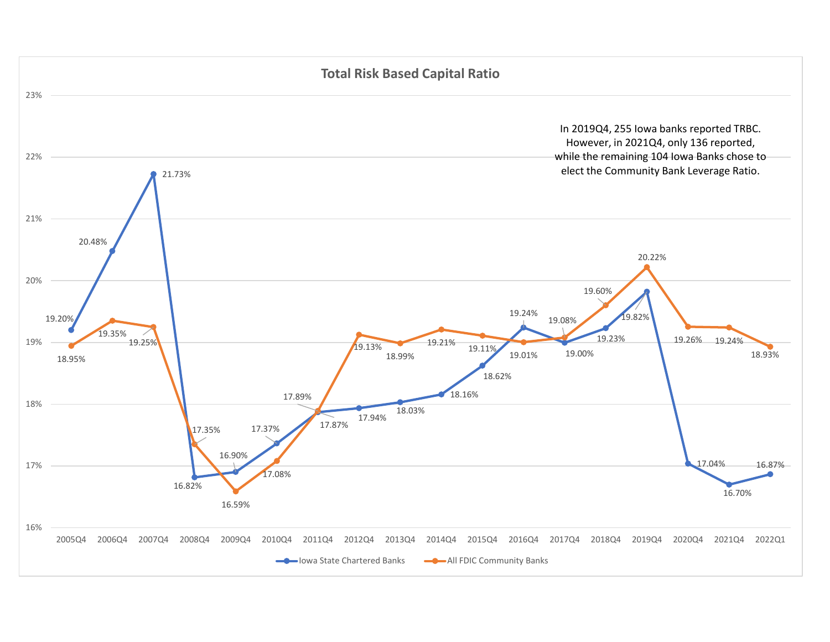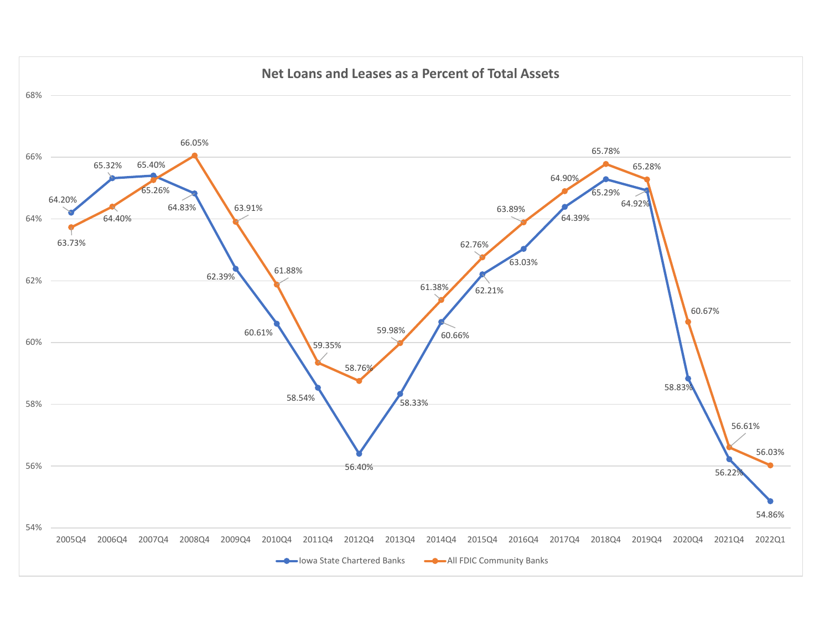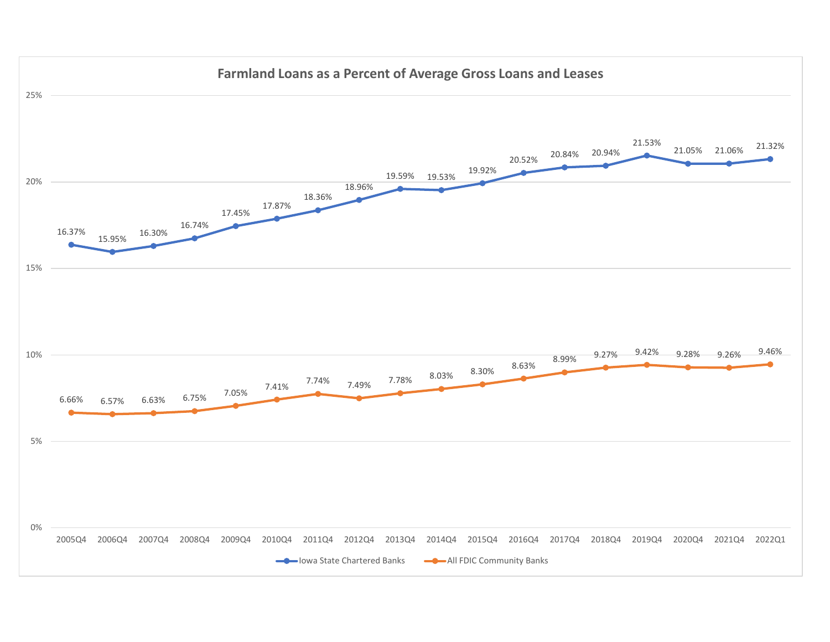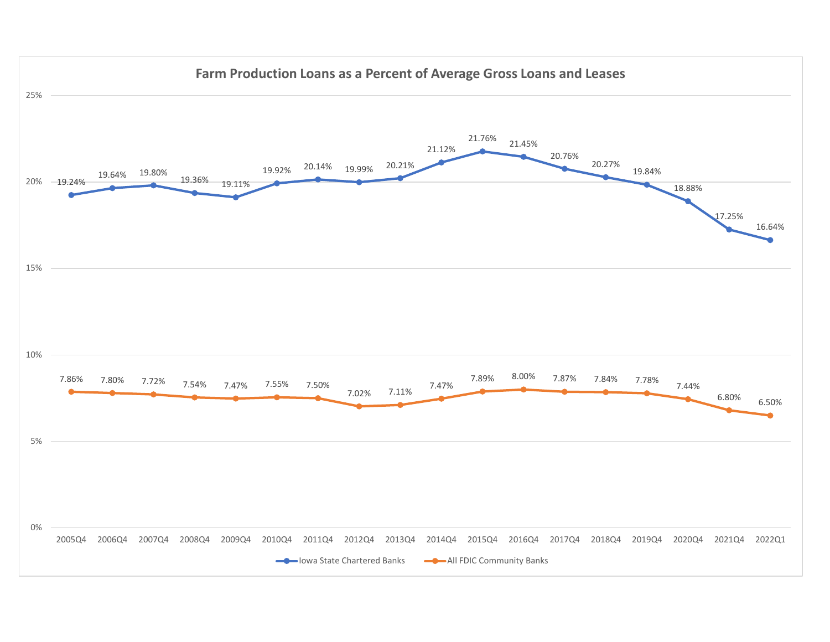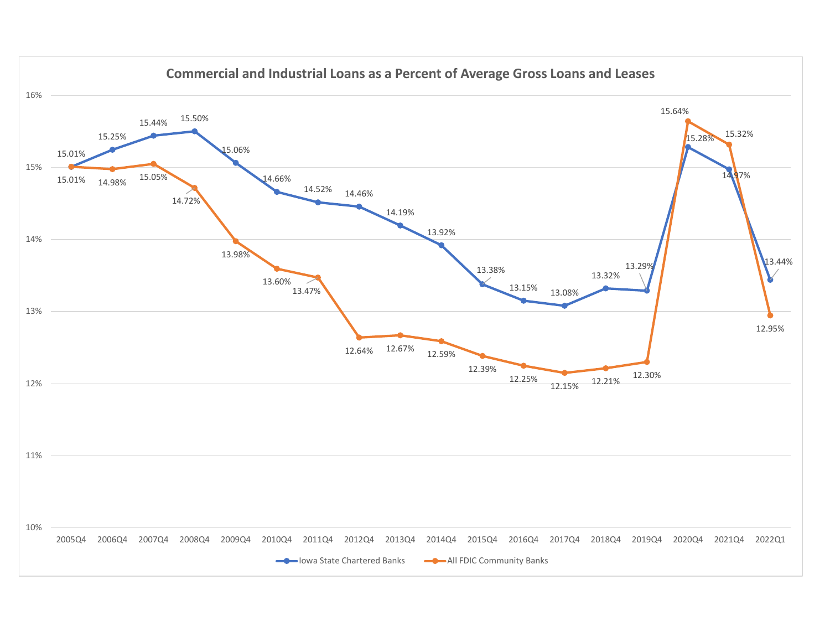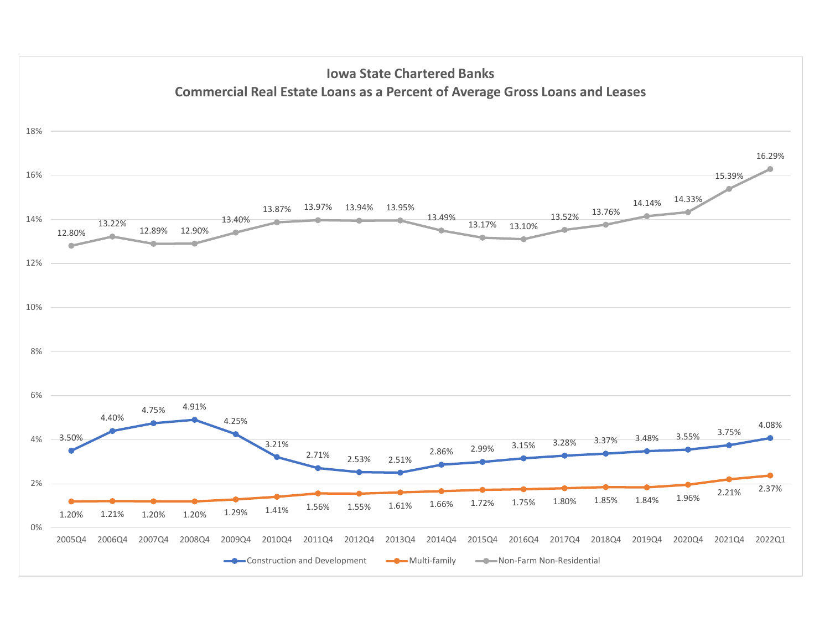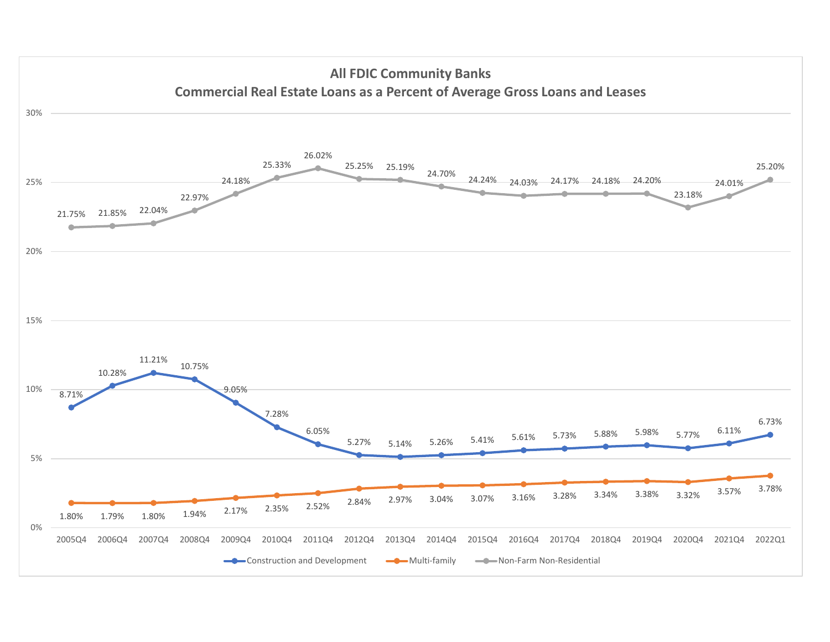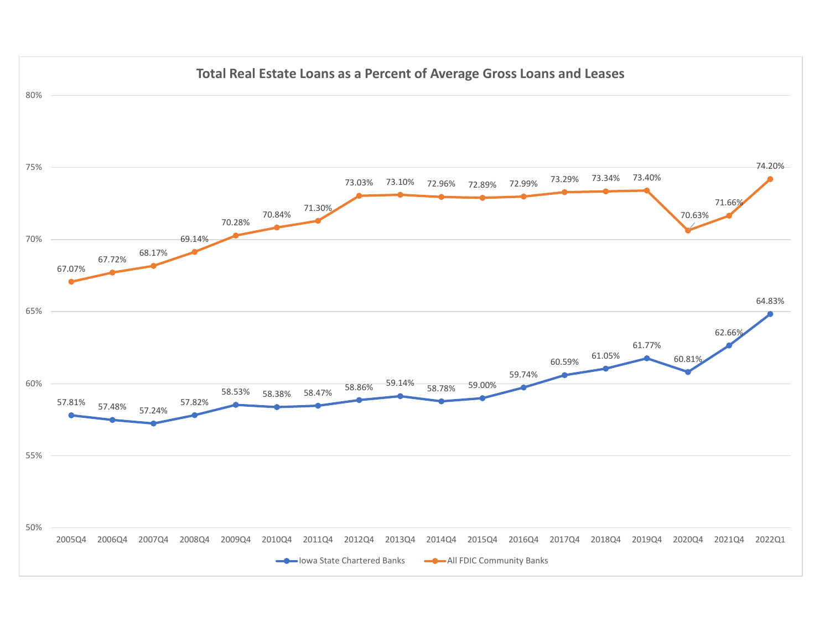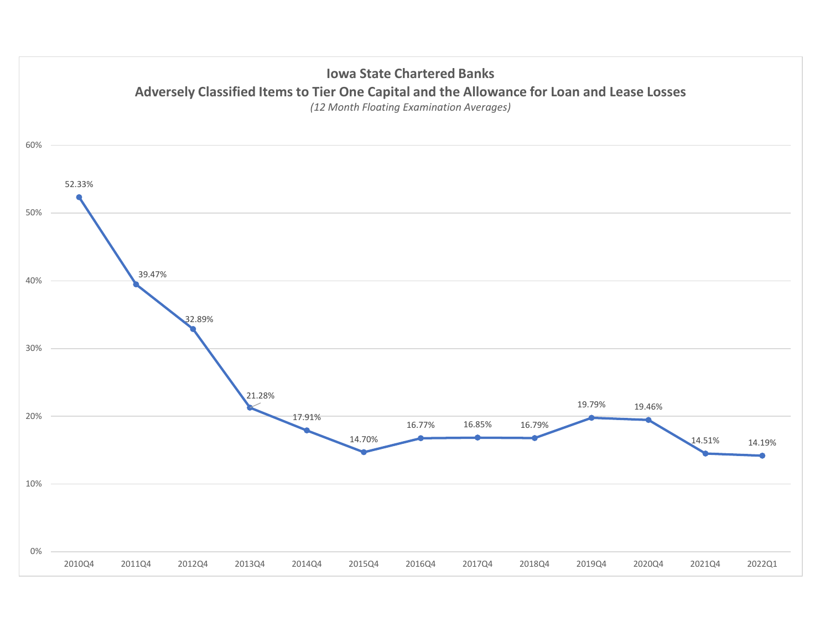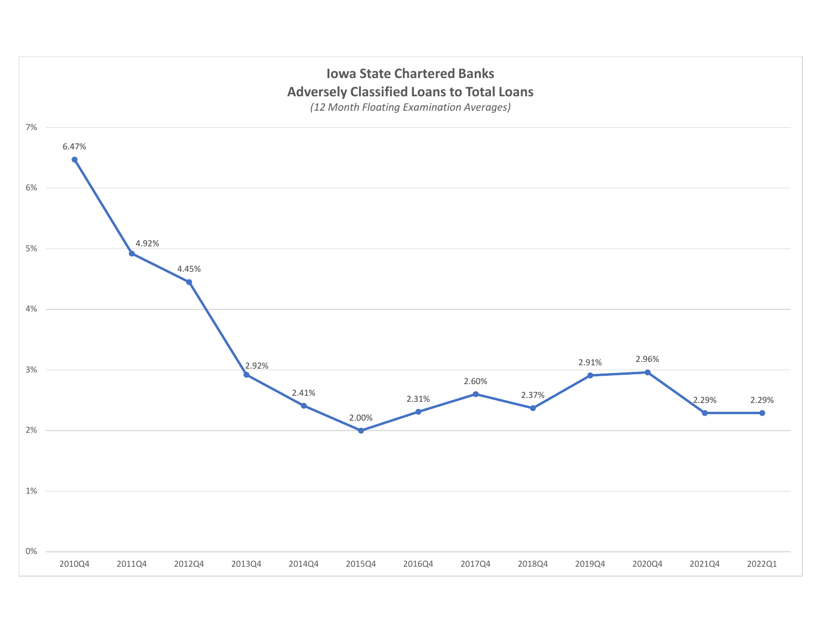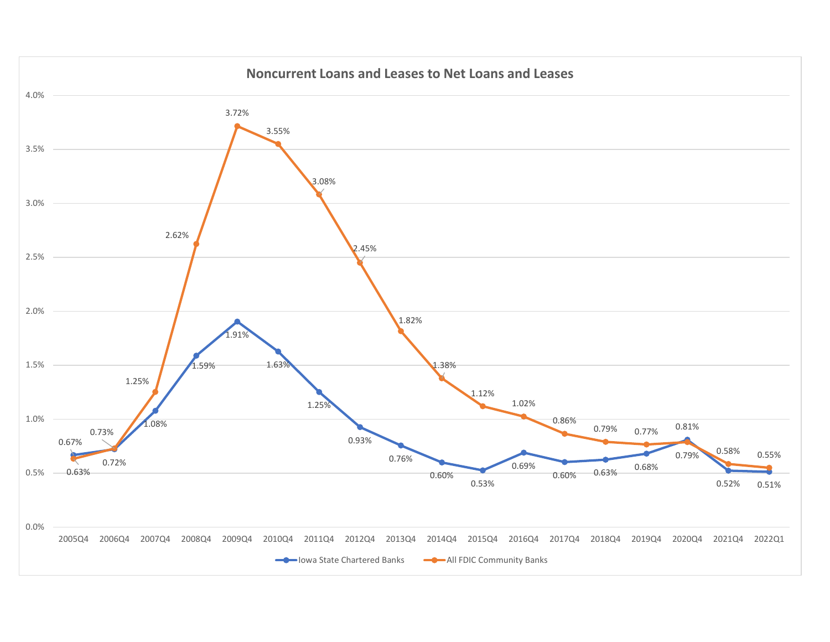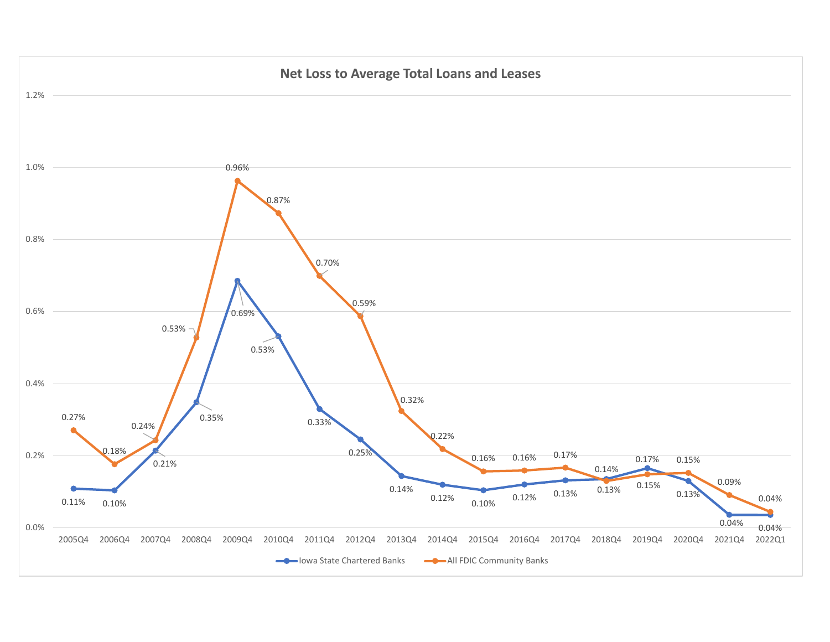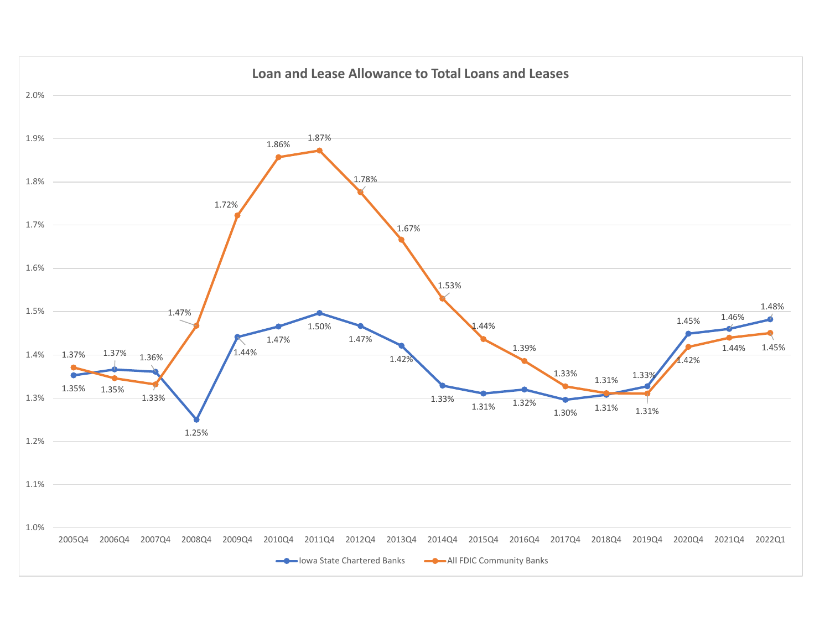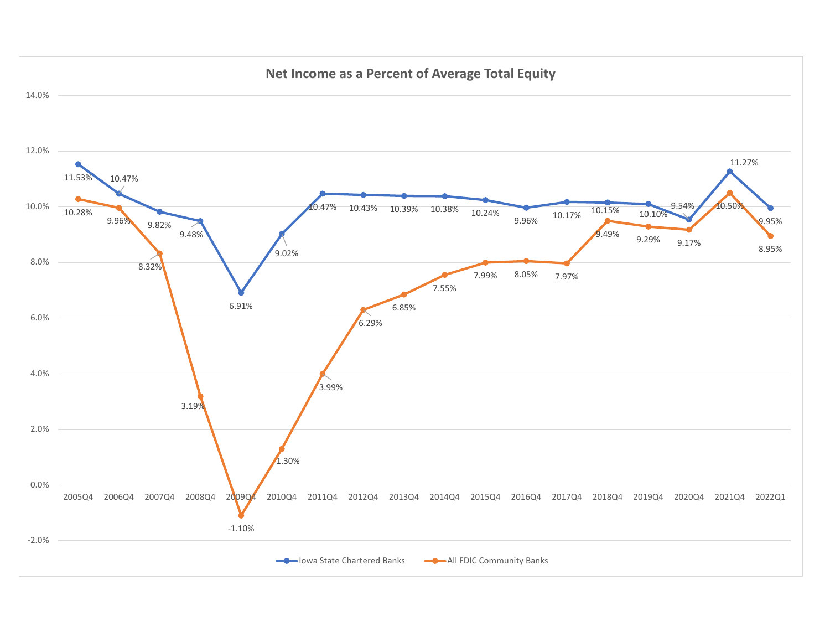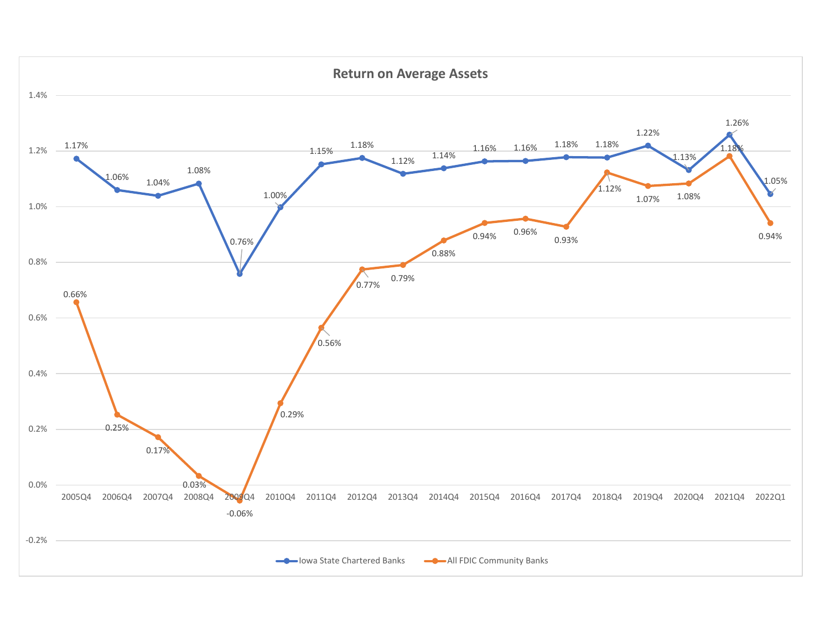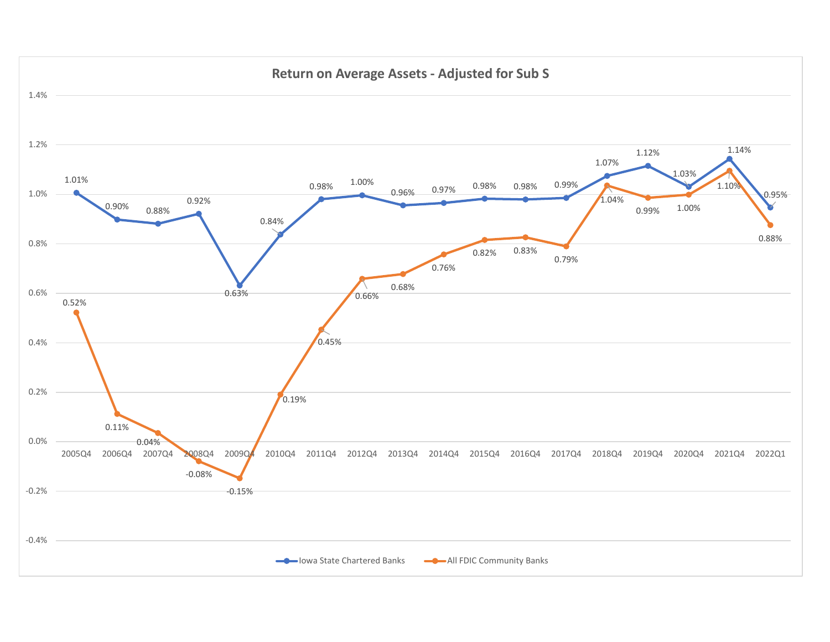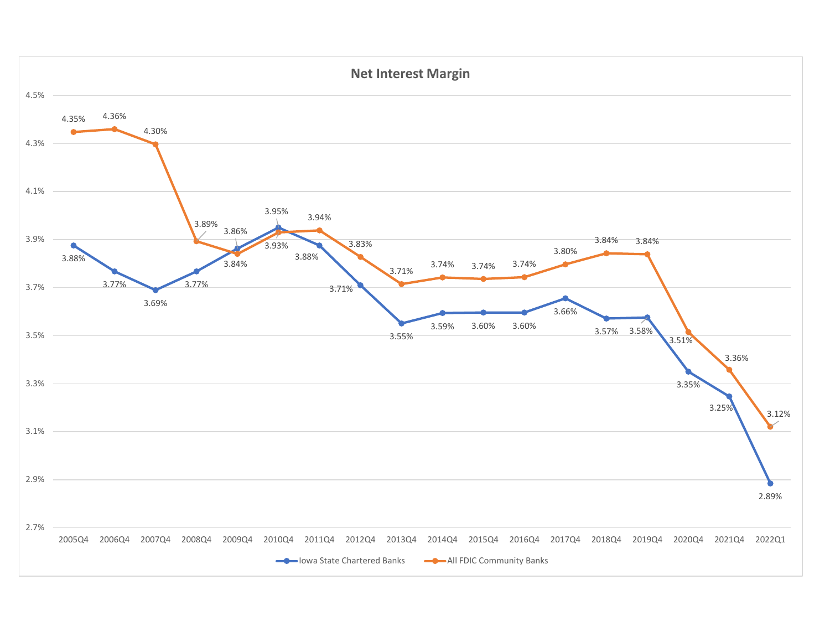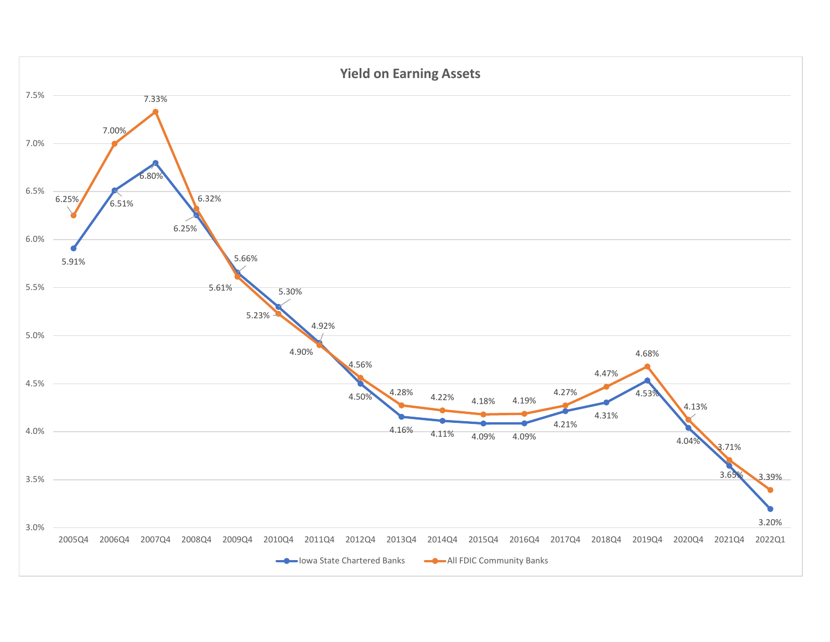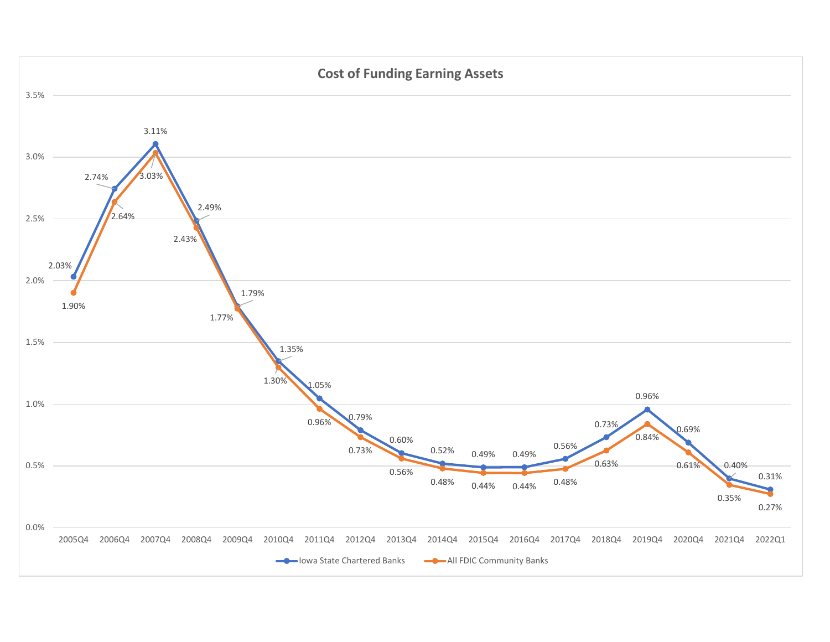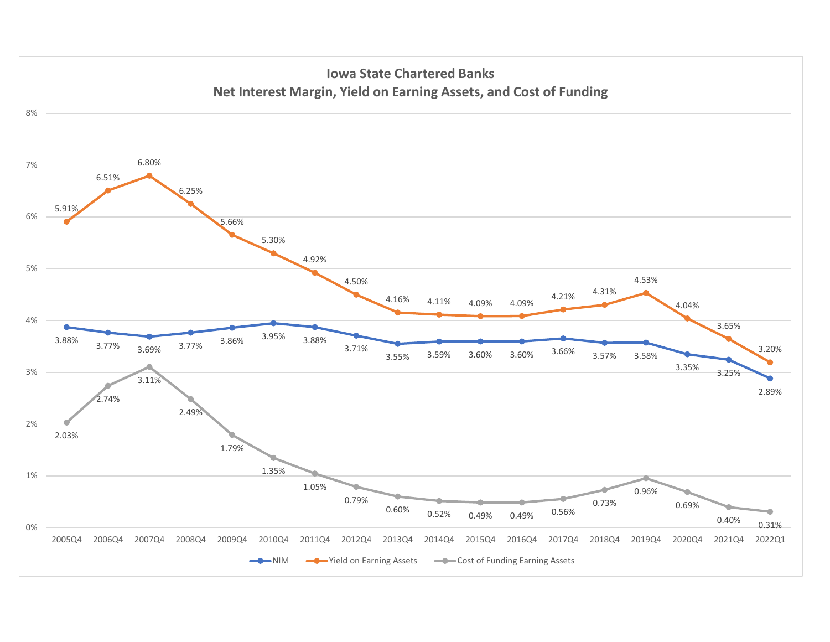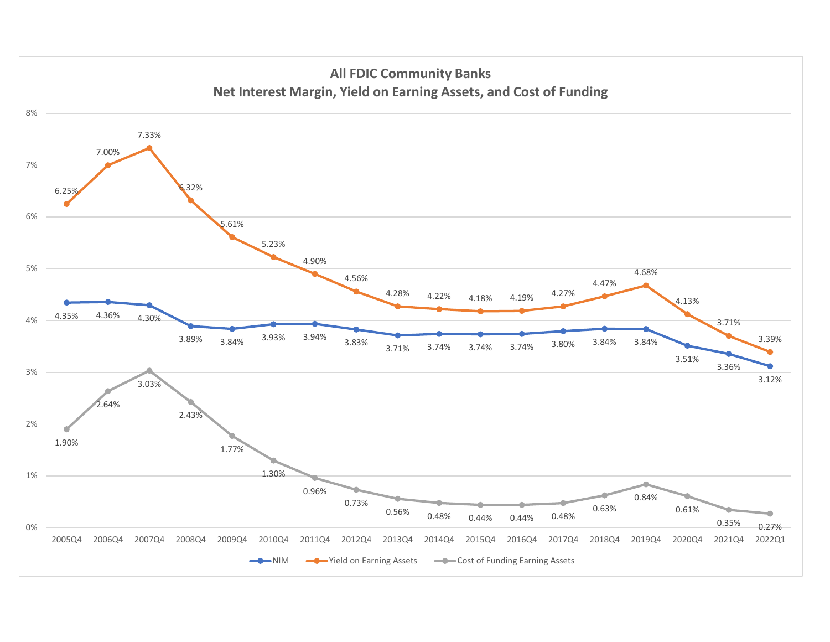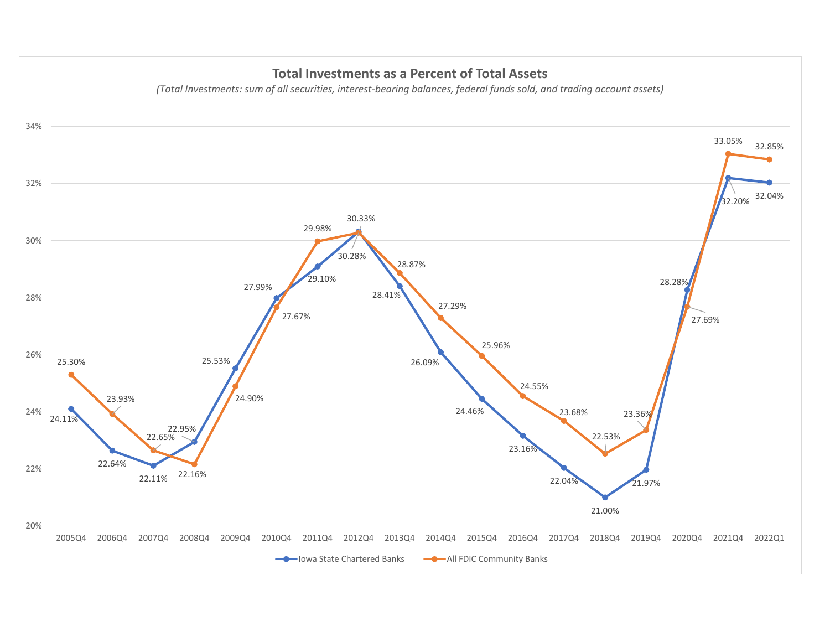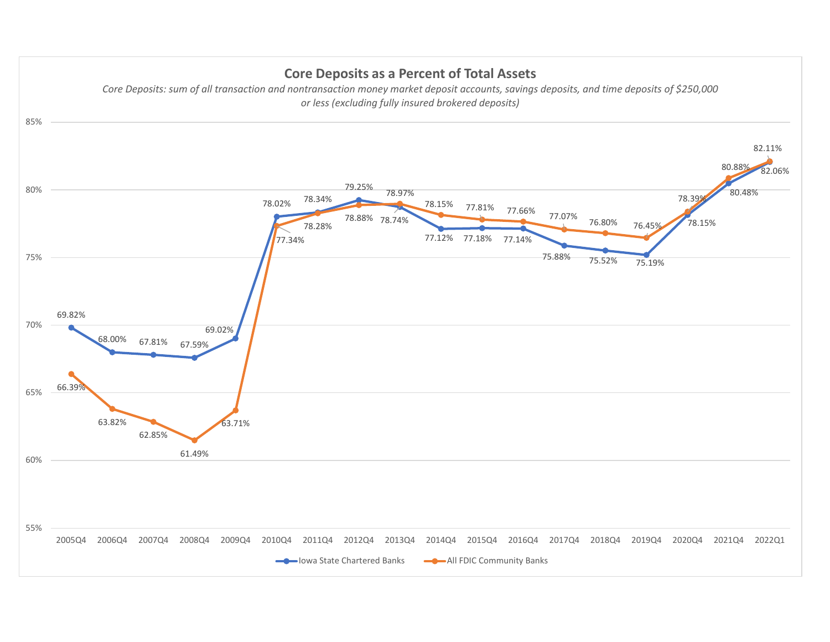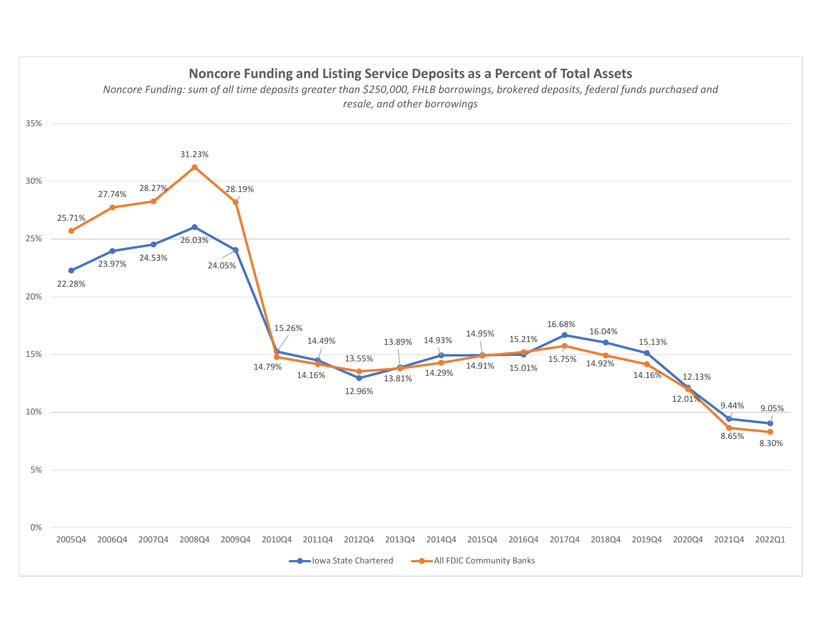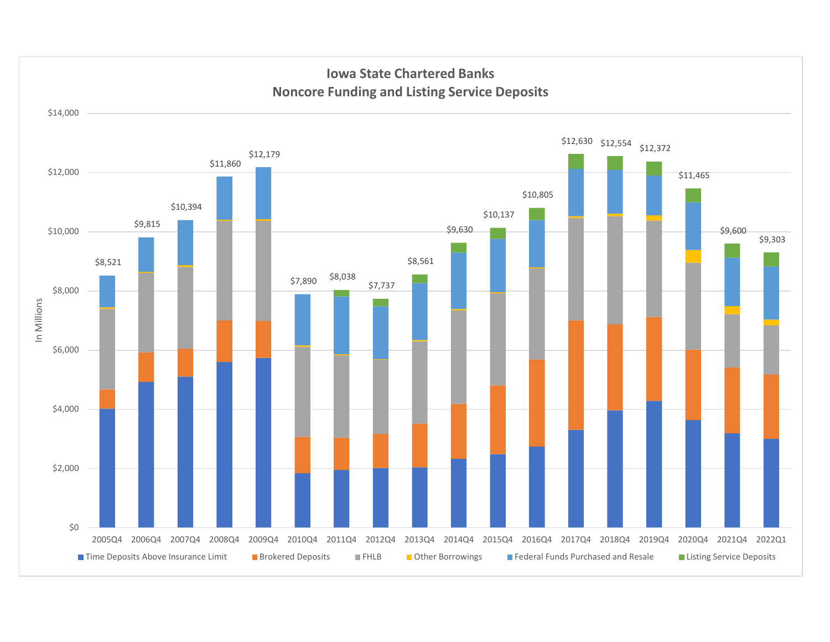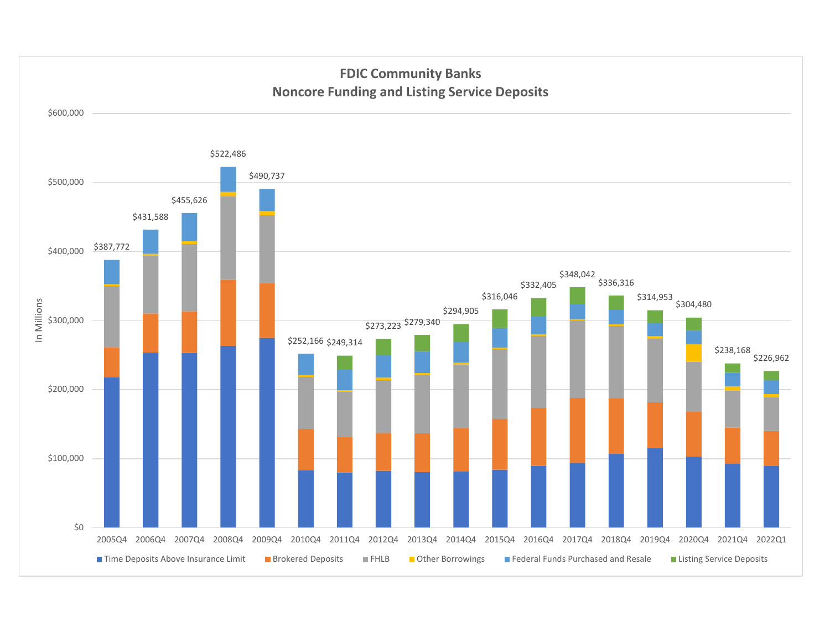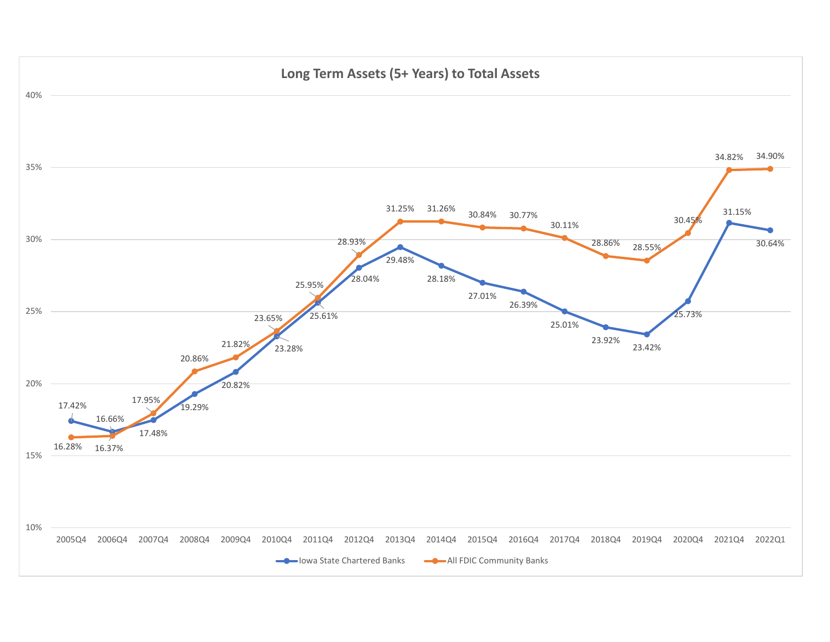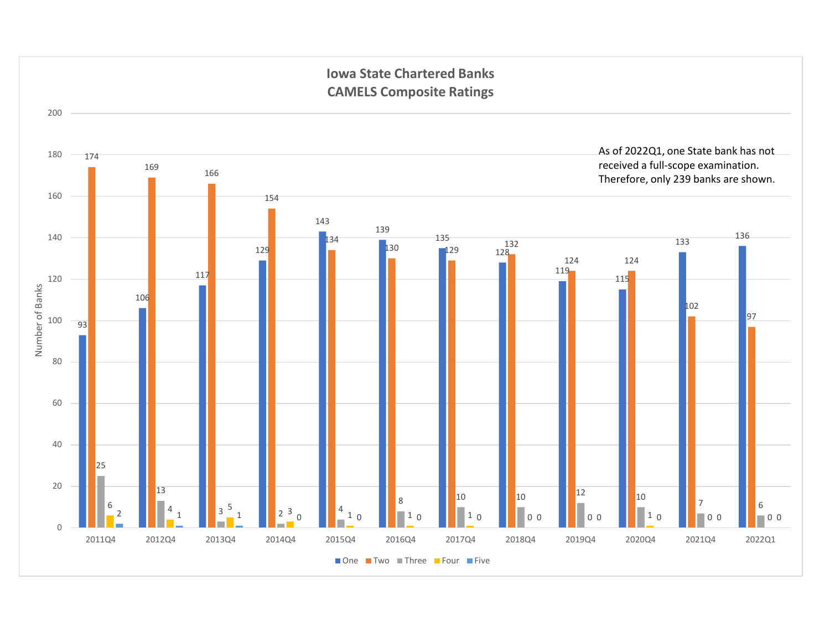